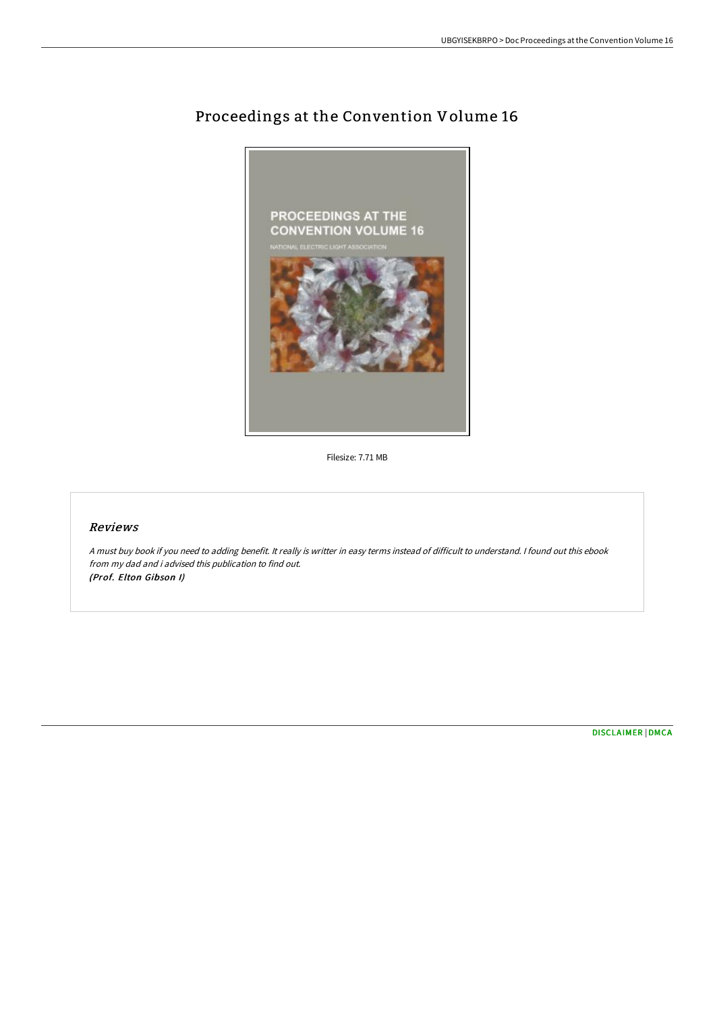

# Proceedings at the Convention Volume 16

Filesize: 7.71 MB

### Reviews

<sup>A</sup> must buy book if you need to adding benefit. It really is writter in easy terms instead of difficult to understand. <sup>I</sup> found out this ebook from my dad and i advised this publication to find out. (Prof. Elton Gibson I)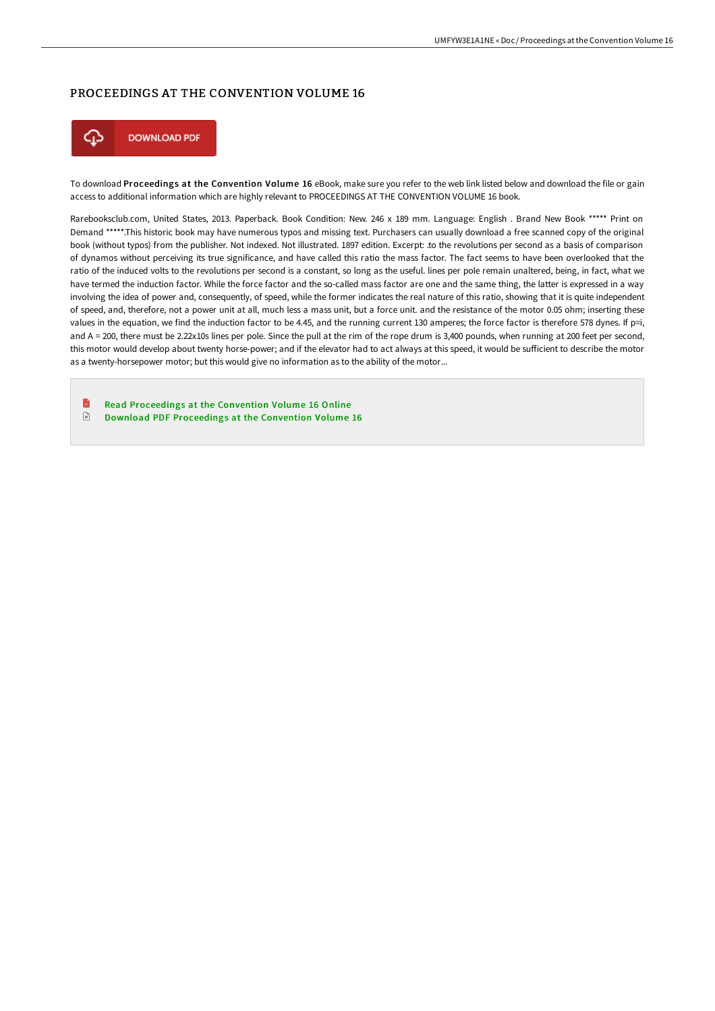### PROCEEDINGS AT THE CONVENTION VOLUME 16



To download Proceedings at the Convention Volume 16 eBook, make sure you refer to the web link listed below and download the file or gain access to additional information which are highly relevant to PROCEEDINGS AT THE CONVENTION VOLUME 16 book.

Rarebooksclub.com, United States, 2013. Paperback. Book Condition: New. 246 x 189 mm. Language: English . Brand New Book \*\*\*\*\* Print on Demand \*\*\*\*\*.This historic book may have numerous typos and missing text. Purchasers can usually download a free scanned copy of the original book (without typos) from the publisher. Not indexed. Not illustrated. 1897 edition. Excerpt: .to the revolutions per second as a basis of comparison of dynamos without perceiving its true significance, and have called this ratio the mass factor. The fact seems to have been overlooked that the ratio of the induced volts to the revolutions per second is a constant, so long as the useful. lines per pole remain unaltered, being, in fact, what we have termed the induction factor. While the force factor and the so-called mass factor are one and the same thing, the latter is expressed in a way involving the idea of power and, consequently, of speed, while the former indicates the real nature of this ratio, showing that it is quite independent of speed, and, therefore, not a power unit at all, much less a mass unit, but a force unit. and the resistance of the motor 0.05 ohm; inserting these values in the equation, we find the induction factor to be 4.45, and the running current 130 amperes; the force factor is therefore 578 dynes. If p=i, and A = 200, there must be 2.22x10s lines per pole. Since the pull at the rim of the rope drum is 3,400 pounds, when running at 200 feet per second, this motor would develop about twenty horse-power; and if the elevator had to act always at this speed, it would be sufficient to describe the motor as a twenty-horsepower motor; but this would give no information as to the ability of the motor...

B Read [Proceedings](http://bookera.tech/proceedings-at-the-convention-volume-16-paperbac.html) at the Convention Volume 16 Online  $\mathop{\boxplus}$ Download PDF [Proceedings](http://bookera.tech/proceedings-at-the-convention-volume-16-paperbac.html) at the Convention Volume 16